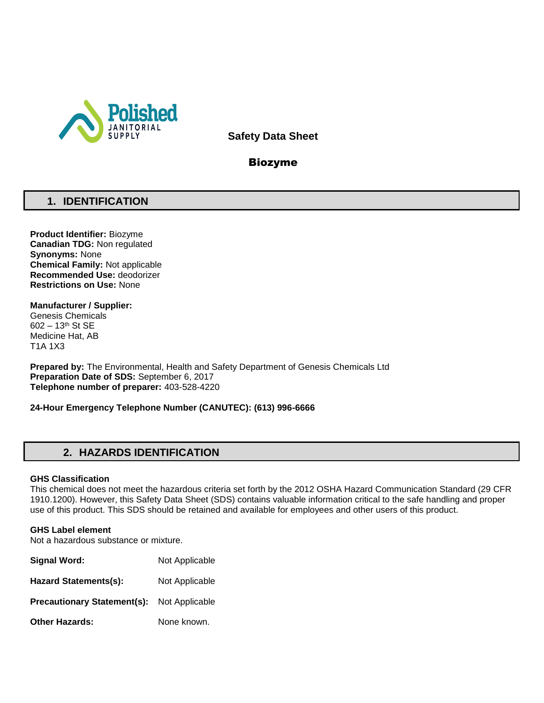

**Safety Data Sheet**

# Biozyme

# **1. IDENTIFICATION**

**Product Identifier:** Biozyme **Canadian TDG:** Non regulated **Synonyms:** None **Chemical Family:** Not applicable **Recommended Use:** deodorizer **Restrictions on Use:** None

**Manufacturer / Supplier:** Genesis Chemicals 602 – 13th St SE Medicine Hat, AB T1A 1X3

**Prepared by:** The Environmental, Health and Safety Department of Genesis Chemicals Ltd **Preparation Date of SDS:** September 6, 2017 **Telephone number of preparer:** 403-528-4220

**24-Hour Emergency Telephone Number (CANUTEC): (613) 996-6666**

# **2. HAZARDS IDENTIFICATION**

## **GHS Classification**

This chemical does not meet the hazardous criteria set forth by the 2012 OSHA Hazard Communication Standard (29 CFR 1910.1200). However, this Safety Data Sheet (SDS) contains valuable information critical to the safe handling and proper use of this product. This SDS should be retained and available for employees and other users of this product.

## **GHS Label element**

Not a hazardous substance or mixture.

| Signal Word:                       | Not Applicable |
|------------------------------------|----------------|
| <b>Hazard Statements(s):</b>       | Not Applicable |
| <b>Precautionary Statement(s):</b> | Not Applicable |
| <b>Other Hazards:</b>              | None known.    |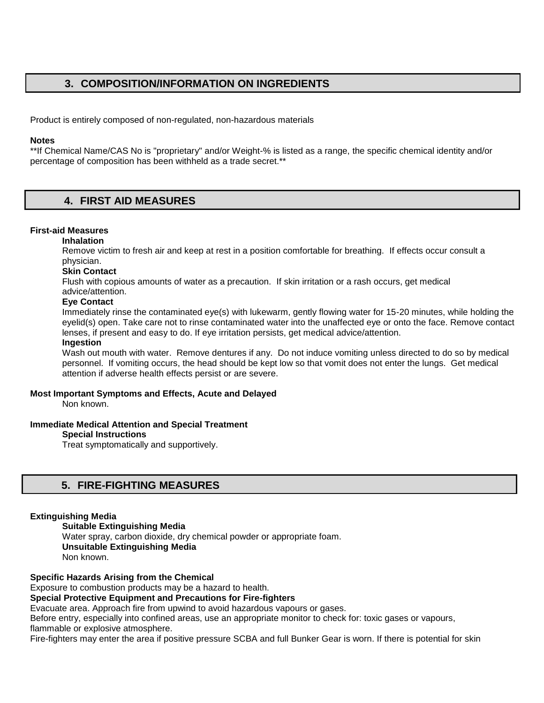# **3. COMPOSITION/INFORMATION ON INGREDIENTS**

Product is entirely composed of non-regulated, non-hazardous materials

## **Notes**

\*\*If Chemical Name/CAS No is "proprietary" and/or Weight-% is listed as a range, the specific chemical identity and/or percentage of composition has been withheld as a trade secret.\*\*

# **4. FIRST AID MEASURES**

# **First-aid Measures**

## **Inhalation**

Remove victim to fresh air and keep at rest in a position comfortable for breathing. If effects occur consult a physician.

# **Skin Contact**

Flush with copious amounts of water as a precaution. If skin irritation or a rash occurs, get medical

# advice/attention.

## **Eye Contact**

Immediately rinse the contaminated eye(s) with lukewarm, gently flowing water for 15-20 minutes, while holding the eyelid(s) open. Take care not to rinse contaminated water into the unaffected eye or onto the face. Remove contact lenses, if present and easy to do. If eye irritation persists, get medical advice/attention.

# **Ingestion**

Wash out mouth with water. Remove dentures if any. Do not induce vomiting unless directed to do so by medical personnel. If vomiting occurs, the head should be kept low so that vomit does not enter the lungs. Get medical attention if adverse health effects persist or are severe.

## **Most Important Symptoms and Effects, Acute and Delayed**

Non known.

## **Immediate Medical Attention and Special Treatment**

# **Special Instructions**

Treat symptomatically and supportively.

# **5. FIRE-FIGHTING MEASURES**

## **Extinguishing Media**

**Suitable Extinguishing Media** Water spray, carbon dioxide, dry chemical powder or appropriate foam. **Unsuitable Extinguishing Media**  Non known.

## **Specific Hazards Arising from the Chemical**

Exposure to combustion products may be a hazard to health.

**Special Protective Equipment and Precautions for Fire-fighters** 

Evacuate area. Approach fire from upwind to avoid hazardous vapours or gases.

Before entry, especially into confined areas, use an appropriate monitor to check for: toxic gases or vapours, flammable or explosive atmosphere.

Fire-fighters may enter the area if positive pressure SCBA and full Bunker Gear is worn. If there is potential for skin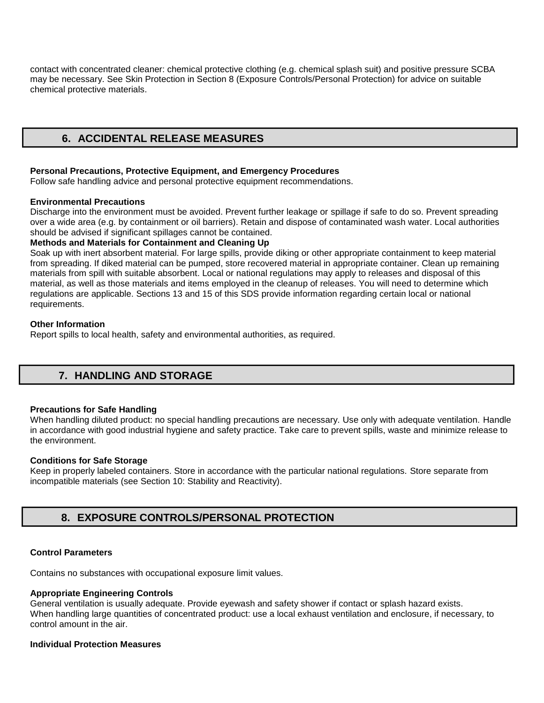contact with concentrated cleaner: chemical protective clothing (e.g. chemical splash suit) and positive pressure SCBA may be necessary. See Skin Protection in Section 8 (Exposure Controls/Personal Protection) for advice on suitable chemical protective materials.

# **6. ACCIDENTAL RELEASE MEASURES**

### **Personal Precautions, Protective Equipment, and Emergency Procedures**

Follow safe handling advice and personal protective equipment recommendations.

#### **Environmental Precautions**

Discharge into the environment must be avoided. Prevent further leakage or spillage if safe to do so. Prevent spreading over a wide area (e.g. by containment or oil barriers). Retain and dispose of contaminated wash water. Local authorities should be advised if significant spillages cannot be contained.

## **Methods and Materials for Containment and Cleaning Up**

Soak up with inert absorbent material. For large spills, provide diking or other appropriate containment to keep material from spreading. If diked material can be pumped, store recovered material in appropriate container. Clean up remaining materials from spill with suitable absorbent. Local or national regulations may apply to releases and disposal of this material, as well as those materials and items employed in the cleanup of releases. You will need to determine which regulations are applicable. Sections 13 and 15 of this SDS provide information regarding certain local or national requirements.

#### **Other Information**

Report spills to local health, safety and environmental authorities, as required.

# **7. HANDLING AND STORAGE**

#### **Precautions for Safe Handling**

When handling diluted product: no special handling precautions are necessary. Use only with adequate ventilation. Handle in accordance with good industrial hygiene and safety practice. Take care to prevent spills, waste and minimize release to the environment.

## **Conditions for Safe Storage**

Keep in properly labeled containers. Store in accordance with the particular national regulations. Store separate from incompatible materials (see Section 10: Stability and Reactivity).

# **8. EXPOSURE CONTROLS/PERSONAL PROTECTION**

## **Control Parameters**

Contains no substances with occupational exposure limit values.

## **Appropriate Engineering Controls**

General ventilation is usually adequate. Provide eyewash and safety shower if contact or splash hazard exists. When handling large quantities of concentrated product: use a local exhaust ventilation and enclosure, if necessary, to control amount in the air.

#### **Individual Protection Measures**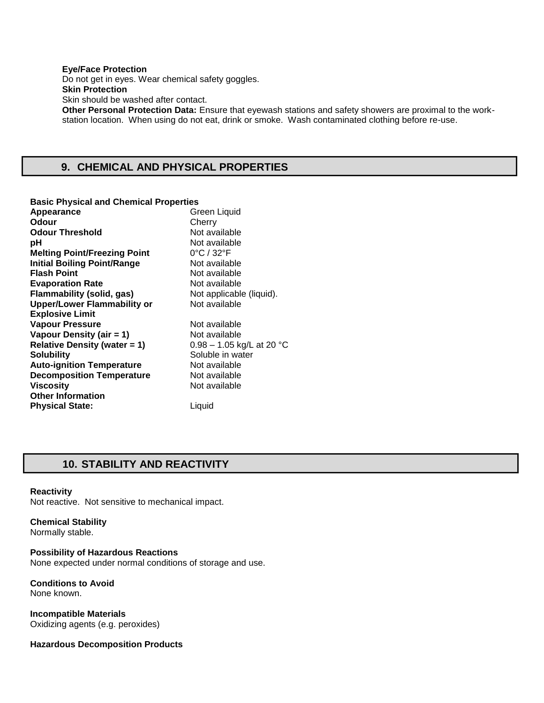#### **Eye/Face Protection**  Do not get in eyes. Wear chemical safety goggles. **Skin Protection**  Skin should be washed after contact. **Other Personal Protection Data:** Ensure that eyewash stations and safety showers are proximal to the workstation location. When using do not eat, drink or smoke. Wash contaminated clothing before re-use.

# **9. CHEMICAL AND PHYSICAL PROPERTIES**

#### **Basic Physical and Chemical Properties**

| Appearance                          | Green Liquid                    |
|-------------------------------------|---------------------------------|
| Odour                               | Cherry                          |
| <b>Odour Threshold</b>              | Not available                   |
| рH                                  | Not available                   |
| <b>Melting Point/Freezing Point</b> | $0^{\circ}$ C / 32 $^{\circ}$ F |
| <b>Initial Boiling Point/Range</b>  | Not available                   |
| <b>Flash Point</b>                  | Not available                   |
| <b>Evaporation Rate</b>             | Not available                   |
| Flammability (solid, gas)           | Not applicable (liquid).        |
| <b>Upper/Lower Flammability or</b>  | Not available                   |
| <b>Explosive Limit</b>              |                                 |
| <b>Vapour Pressure</b>              | Not available                   |
| Vapour Density (air = 1)            | Not available                   |
| <b>Relative Density (water = 1)</b> | $0.98 - 1.05$ kg/L at 20 °C     |
| <b>Solubility</b>                   | Soluble in water                |
| <b>Auto-ignition Temperature</b>    | Not available                   |
| <b>Decomposition Temperature</b>    | Not available                   |
| <b>Viscosity</b>                    | Not available                   |
| <b>Other Information</b>            |                                 |
| <b>Physical State:</b>              | Liquid                          |
|                                     |                                 |

# **10. STABILITY AND REACTIVITY**

#### **Reactivity**

Not reactive. Not sensitive to mechanical impact.

## **Chemical Stability**

Normally stable.

## **Possibility of Hazardous Reactions**

None expected under normal conditions of storage and use.

#### **Conditions to Avoid**  None known.

**Incompatible Materials**  Oxidizing agents (e.g. peroxides)

## **Hazardous Decomposition Products**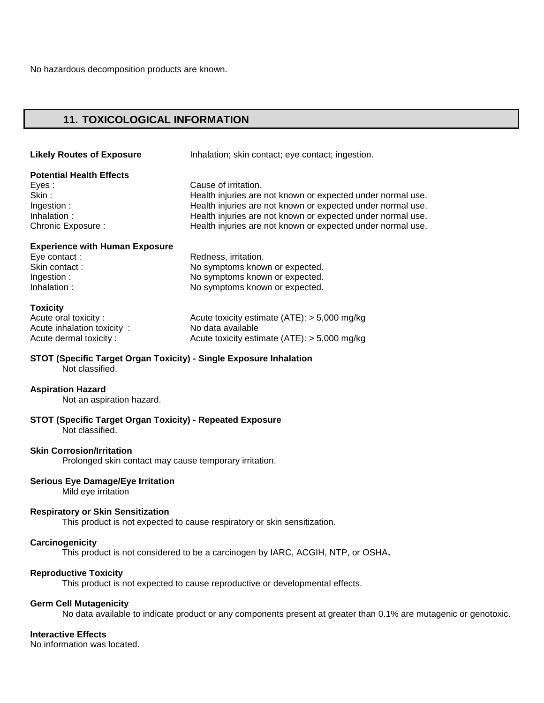# **11. TOXICOLOGICAL INFORMATION**

| <b>Likely Routes of Exposure</b>      | Inhalation; skin contact; eye contact; ingestion.           |
|---------------------------------------|-------------------------------------------------------------|
| <b>Potential Health Effects</b>       |                                                             |
| Eyes:                                 | Cause of irritation.                                        |
| Skin:                                 | Health injuries are not known or expected under normal use. |
| Ingestion:                            | Health injuries are not known or expected under normal use. |
| Inhalation:                           | Health injuries are not known or expected under normal use. |
| Chronic Exposure :                    | Health injuries are not known or expected under normal use. |
| <b>Experience with Human Exposure</b> |                                                             |
| Eye contact:                          | Redness, irritation.                                        |
| Skin contact:                         | No symptoms known or expected.                              |
| Ingestion:                            | No symptoms known or expected.                              |
| Inhalation:                           | No symptoms known or expected.                              |
| <b>Toxicity</b>                       |                                                             |
| Acute oral toxicity:                  | Acute toxicity estimate $(ATE):$ > 5,000 mg/kg              |
| Acute inhalation toxicity:            | No data available                                           |
| Acute dermal toxicity:                | Acute toxicity estimate $(ATE)$ : > 5,000 mg/kg             |

**STOT (Specific Target Organ Toxicity) - Single Exposure Inhalation**  Not classified.

# **Aspiration Hazard**

Not an aspiration hazard.

#### **STOT (Specific Target Organ Toxicity) - Repeated Exposure**  Not classified.

## **Skin Corrosion/Irritation**

Prolonged skin contact may cause temporary irritation.

## **Serious Eye Damage/Eye Irritation**

Mild eye irritation

## **Respiratory or Skin Sensitization**

This product is not expected to cause respiratory or skin sensitization.

#### **Carcinogenicity**

This product is not considered to be a carcinogen by IARC, ACGIH, NTP, or OSHA**.** 

## **Reproductive Toxicity**

This product is not expected to cause reproductive or developmental effects.

### **Germ Cell Mutagenicity**

No data available to indicate product or any components present at greater than 0.1% are mutagenic or genotoxic.

## **Interactive Effects**

No information was located.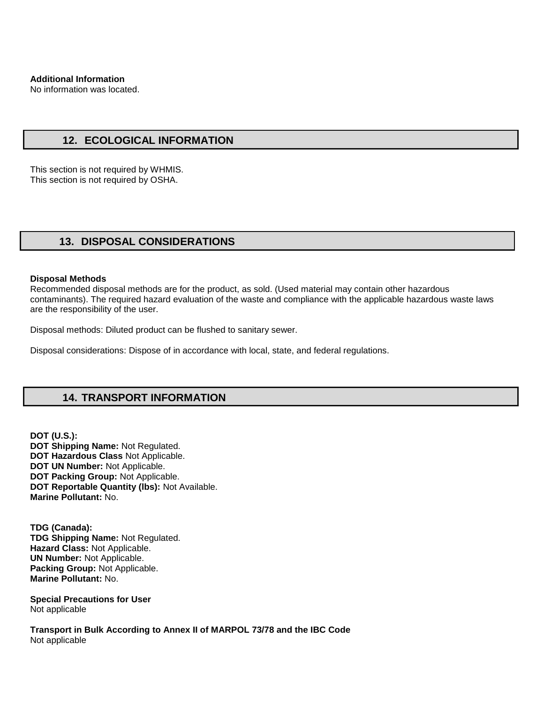No information was located.

# **12. ECOLOGICAL INFORMATION**

This section is not required by WHMIS. This section is not required by OSHA.

# **13. DISPOSAL CONSIDERATIONS**

#### **Disposal Methods**

Recommended disposal methods are for the product, as sold. (Used material may contain other hazardous contaminants). The required hazard evaluation of the waste and compliance with the applicable hazardous waste laws are the responsibility of the user.

Disposal methods: Diluted product can be flushed to sanitary sewer.

Disposal considerations: Dispose of in accordance with local, state, and federal regulations.

# **14. TRANSPORT INFORMATION**

**DOT (U.S.): DOT Shipping Name:** Not Regulated. **DOT Hazardous Class** Not Applicable. **DOT UN Number:** Not Applicable. **DOT Packing Group:** Not Applicable. **DOT Reportable Quantity (lbs):** Not Available. **Marine Pollutant:** No.

**TDG (Canada): TDG Shipping Name:** Not Regulated. **Hazard Class:** Not Applicable. **UN Number:** Not Applicable. **Packing Group:** Not Applicable. **Marine Pollutant:** No.

**Special Precautions for User** Not applicable

**Transport in Bulk According to Annex II of MARPOL 73/78 and the IBC Code**  Not applicable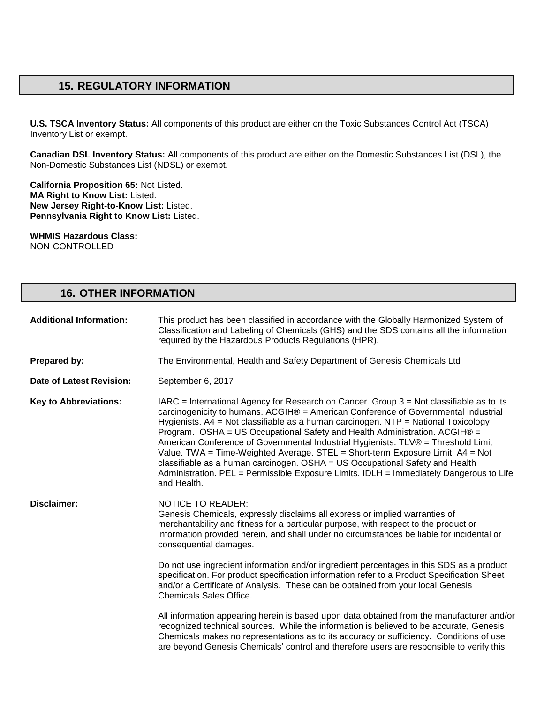# **15. REGULATORY INFORMATION**

**U.S. TSCA Inventory Status:** All components of this product are either on the Toxic Substances Control Act (TSCA) Inventory List or exempt.

**Canadian DSL Inventory Status:** All components of this product are either on the Domestic Substances List (DSL), the Non-Domestic Substances List (NDSL) or exempt.

**California Proposition 65:** Not Listed. **MA Right to Know List:** Listed. **New Jersey Right-to-Know List:** Listed. **Pennsylvania Right to Know List:** Listed.

**WHMIS Hazardous Class:** NON-CONTROLLED

# **16. OTHER INFORMATION**

| <b>Additional Information:</b> | This product has been classified in accordance with the Globally Harmonized System of<br>Classification and Labeling of Chemicals (GHS) and the SDS contains all the information<br>required by the Hazardous Products Regulations (HPR).                                                                                                                                                                                                                                                                                                                                                                                                                                                                           |
|--------------------------------|---------------------------------------------------------------------------------------------------------------------------------------------------------------------------------------------------------------------------------------------------------------------------------------------------------------------------------------------------------------------------------------------------------------------------------------------------------------------------------------------------------------------------------------------------------------------------------------------------------------------------------------------------------------------------------------------------------------------|
| Prepared by:                   | The Environmental, Health and Safety Department of Genesis Chemicals Ltd                                                                                                                                                                                                                                                                                                                                                                                                                                                                                                                                                                                                                                            |
| Date of Latest Revision:       | September 6, 2017                                                                                                                                                                                                                                                                                                                                                                                                                                                                                                                                                                                                                                                                                                   |
| <b>Key to Abbreviations:</b>   | $IARC = International Agency for Research on Cancer. Group 3 = Not classified as to its$<br>carcinogenicity to humans. ACGIH® = American Conference of Governmental Industrial<br>Hygienists. A4 = Not classifiable as a human carcinogen. NTP = National Toxicology<br>Program. OSHA = US Occupational Safety and Health Administration. ACGIH® =<br>American Conference of Governmental Industrial Hygienists. TLV® = Threshold Limit<br>Value. TWA = Time-Weighted Average. STEL = Short-term Exposure Limit. A4 = Not<br>classifiable as a human carcinogen. OSHA = US Occupational Safety and Health<br>Administration. PEL = Permissible Exposure Limits. IDLH = Immediately Dangerous to Life<br>and Health. |
| Disclaimer:                    | <b>NOTICE TO READER:</b><br>Genesis Chemicals, expressly disclaims all express or implied warranties of<br>merchantability and fitness for a particular purpose, with respect to the product or<br>information provided herein, and shall under no circumstances be liable for incidental or<br>consequential damages.                                                                                                                                                                                                                                                                                                                                                                                              |
|                                | Do not use ingredient information and/or ingredient percentages in this SDS as a product<br>specification. For product specification information refer to a Product Specification Sheet<br>and/or a Certificate of Analysis. These can be obtained from your local Genesis<br><b>Chemicals Sales Office.</b>                                                                                                                                                                                                                                                                                                                                                                                                        |
|                                | All information appearing herein is based upon data obtained from the manufacturer and/or<br>recognized technical sources. While the information is believed to be accurate, Genesis<br>Chemicals makes no representations as to its accuracy or sufficiency. Conditions of use<br>are beyond Genesis Chemicals' control and therefore users are responsible to verify this                                                                                                                                                                                                                                                                                                                                         |